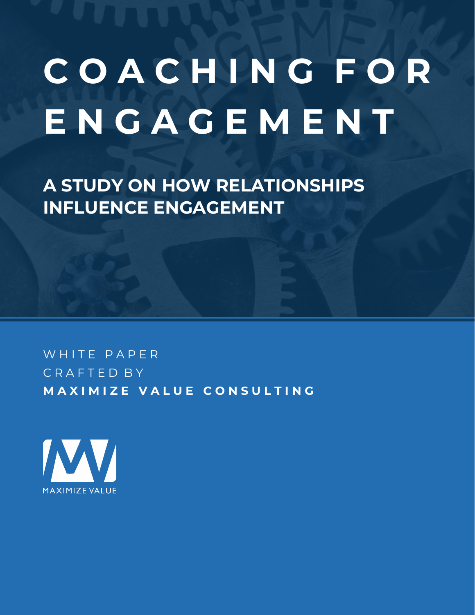# **C O A C H I N G F O R E N G A G E M E N T**

**A STUDY ON HOW RELATIONSHIPS INFLUENCE ENGAGEMENT**

WHITE PAPER C R A F T E D B Y **M A X I M I Z E V A L U E C O N S U L T I N G**

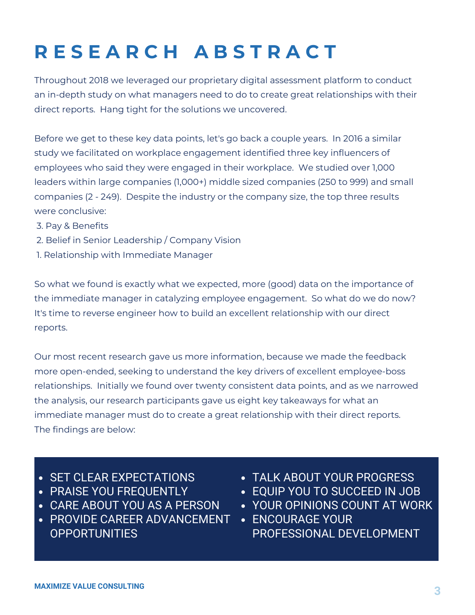# **R E S E A R C H A B S T R A C T**

Throughout 2018 we leveraged our proprietary digital assessment platform to conduct an in-depth study on what managers need to do to create great relationships with their direct reports. Hang tight for the solutions we uncovered.

Before we get to these key data points, let's go back a couple years. In 2016 a similar study we facilitated on workplace engagement identified three key influencers of employees who said they were engaged in their workplace. We studied over 1,000 leaders within large companies (1,000+) middle sized companies (250 to 999) and small companies (2 - 249). Despite the industry or the company size, the top three results were conclusive:

- 3. Pay & Benefits
- 2. Belief in Senior Leadership / Company Vision
- 1. Relationship with Immediate Manager

So what we found is exactly what we expected, more (good) data on the importance of the immediate manager in catalyzing employee engagement. So what do we do now? It's time to reverse engineer how to build an excellent relationship with our direct reports.

Our most recent research gave us more information, because we made the feedback more open-ended, seeking to understand the key drivers of excellent employee-boss relationships. Initially we found over twenty consistent data points, and as we narrowed the analysis, our research participants gave us eight key takeaways for what an immediate manager must do to create a great relationship with their direct reports. The findings are below:

- SET CLEAR EXPECTATIONS
- **PRAISE YOU FREQUENTLY**
- CARE ABOUT YOU AS A PERSON
- PROVIDE CAREER ADVANCEMENT **OPPORTUNITIES**
- TALK ABOUT YOUR PROGRESS
- EQUIP YOU TO SUCCEED IN JOB
- YOUR OPINIONS COUNT AT WORK
- **ENCOURAGE YOUR** PROFESSIONAL DEVELOPMENT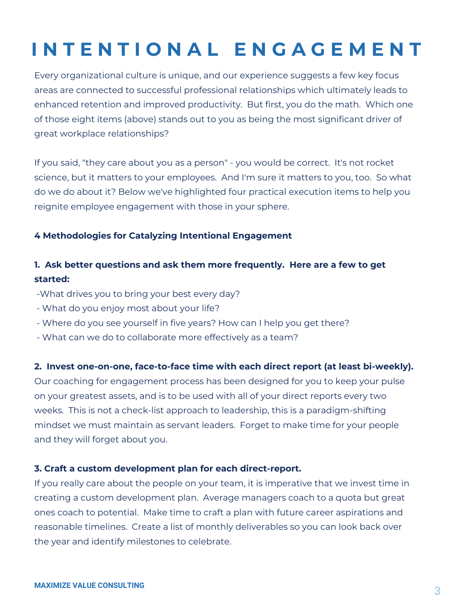# **I N T E N T I O N A L E N G A G E M E N T**

Every organizational culture is unique, and our experience suggests a few key focus areas are connected to successful professional relationships which ultimately leads to enhanced retention and improved productivity. But first, you do the math. Which one of those eight items (above) stands out to you as being the most significant driver of great workplace relationships?

If you said, "they care about you as a person" - you would be correct. It's not rocket science, but it matters to your employees. And I'm sure it matters to you, too. So what do we do about it? Below we've highlighted four practical execution items to help you reignite employee engagement with those in your sphere.

## **4 Methodologies for Catalyzing Intentional Engagement**

## **1. Ask better questions and ask them more frequently. Here are a few to get started:**

- -What drives you to bring your best every day?
- What do you enjoy most about your life?
- Where do you see yourself in five years? How can I help you get there?
- What can we do to collaborate more effectively as a team?

## 2. Invest one-on-one, face-to-face time with each direct report (at least bi-weekly).

Our coaching for engagement process has been designed for you to keep your pulse on your greatest assets, and is to be used with all of your direct reports every two weeks. This is not a check-list approach to leadership, this is a paradigm-shifting mindset we must maintain as servant leaders. Forget to make time for your people and they will forget about you.

## **3. Craft a custom development plan for each direct-report.**

If you really care about the people on your team, it is imperative that we invest time in creating a custom development plan. Average managers coach to a quota but great ones coach to potential. Make time to craft a plan with future career aspirations and reasonable timelines. Create a list of monthly deliverables so you can look back over the year and identify milestones to celebrate.